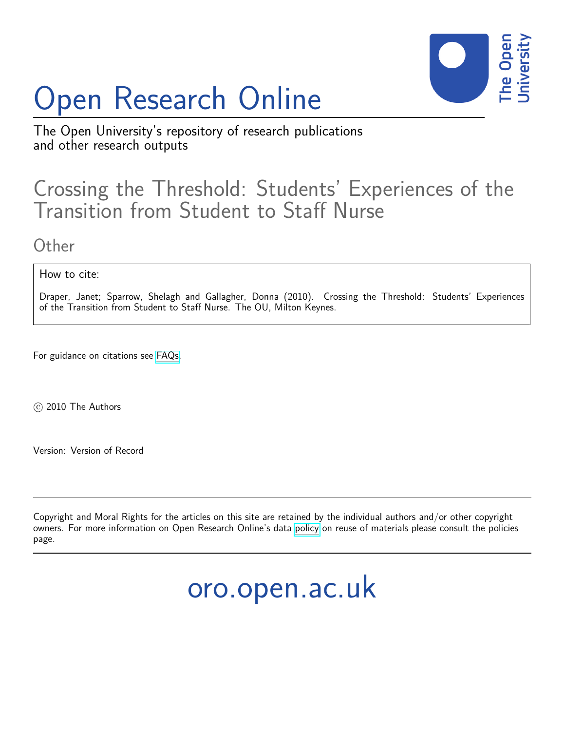# Open Research Online



The Open University's repository of research publications and other research outputs

# Crossing the Threshold: Students' Experiences of the Transition from Student to Staff Nurse

# **Other**

How to cite:

Draper, Janet; Sparrow, Shelagh and Gallagher, Donna (2010). Crossing the Threshold: Students' Experiences of the Transition from Student to Staff Nurse. The OU, Milton Keynes.

For guidance on citations see [FAQs.](http://oro.open.ac.uk/help/helpfaq.html)

c 2010 The Authors

Version: Version of Record

Copyright and Moral Rights for the articles on this site are retained by the individual authors and/or other copyright owners. For more information on Open Research Online's data [policy](http://oro.open.ac.uk/policies.html) on reuse of materials please consult the policies page.

# oro.open.ac.uk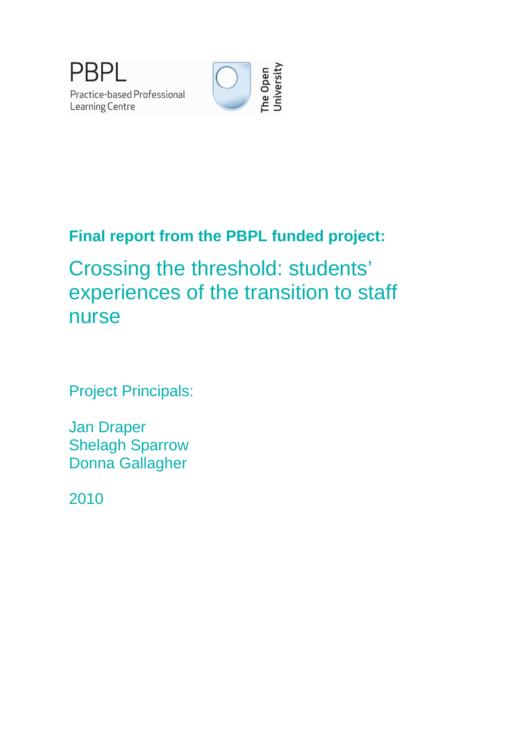



# **Final report from the PBPL funded project:**

Crossing the threshold: students' experiences of the transition to staff nurse

Project Principals:

Jan Draper Shelagh Sparrow Donna Gallagher

2010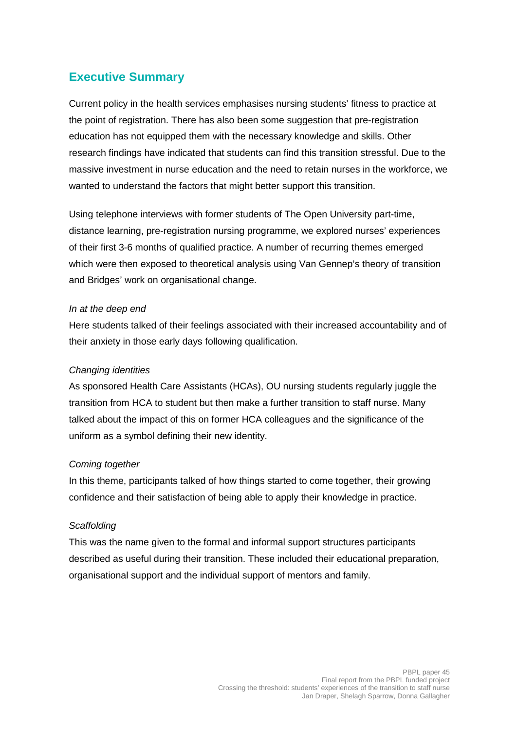# **Executive Summary**

Current policy in the health services emphasises nursing students' fitness to practice at the point of registration. There has also been some suggestion that pre-registration education has not equipped them with the necessary knowledge and skills. Other research findings have indicated that students can find this transition stressful. Due to the massive investment in nurse education and the need to retain nurses in the workforce, we wanted to understand the factors that might better support this transition.

Using telephone interviews with former students of The Open University part-time, distance learning, pre-registration nursing programme, we explored nurses' experiences of their first 3-6 months of qualified practice. A number of recurring themes emerged which were then exposed to theoretical analysis using Van Gennep's theory of transition and Bridges' work on organisational change.

#### In at the deep end

Here students talked of their feelings associated with their increased accountability and of their anxiety in those early days following qualification.

#### Changing identities

As sponsored Health Care Assistants (HCAs), OU nursing students regularly juggle the transition from HCA to student but then make a further transition to staff nurse. Many talked about the impact of this on former HCA colleagues and the significance of the uniform as a symbol defining their new identity.

#### Coming together

In this theme, participants talked of how things started to come together, their growing confidence and their satisfaction of being able to apply their knowledge in practice.

#### **Scaffolding**

This was the name given to the formal and informal support structures participants described as useful during their transition. These included their educational preparation, organisational support and the individual support of mentors and family.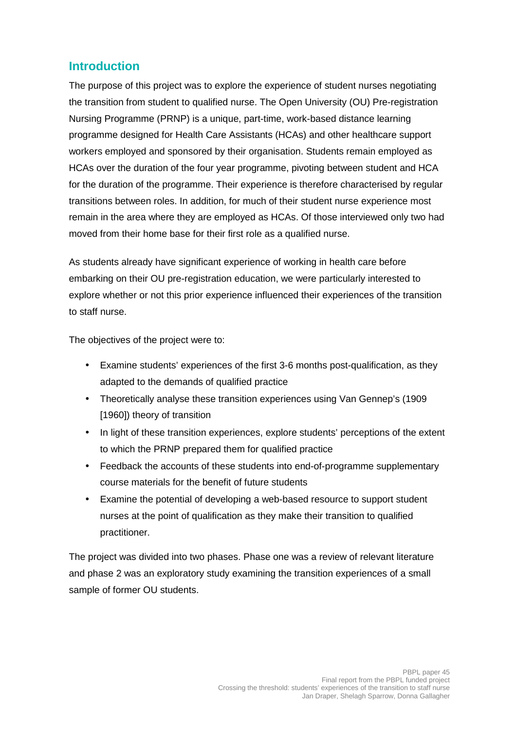## **Introduction**

The purpose of this project was to explore the experience of student nurses negotiating the transition from student to qualified nurse. The Open University (OU) Pre-registration Nursing Programme (PRNP) is a unique, part-time, work-based distance learning programme designed for Health Care Assistants (HCAs) and other healthcare support workers employed and sponsored by their organisation. Students remain employed as HCAs over the duration of the four year programme, pivoting between student and HCA for the duration of the programme. Their experience is therefore characterised by regular transitions between roles. In addition, for much of their student nurse experience most remain in the area where they are employed as HCAs. Of those interviewed only two had moved from their home base for their first role as a qualified nurse.

As students already have significant experience of working in health care before embarking on their OU pre-registration education, we were particularly interested to explore whether or not this prior experience influenced their experiences of the transition to staff nurse.

The objectives of the project were to:

- Examine students' experiences of the first 3-6 months post-qualification, as they adapted to the demands of qualified practice
- Theoretically analyse these transition experiences using Van Gennep's (1909 [1960]) theory of transition
- In light of these transition experiences, explore students' perceptions of the extent to which the PRNP prepared them for qualified practice
- Feedback the accounts of these students into end-of-programme supplementary course materials for the benefit of future students
- Examine the potential of developing a web-based resource to support student nurses at the point of qualification as they make their transition to qualified practitioner.

The project was divided into two phases. Phase one was a review of relevant literature and phase 2 was an exploratory study examining the transition experiences of a small sample of former OU students.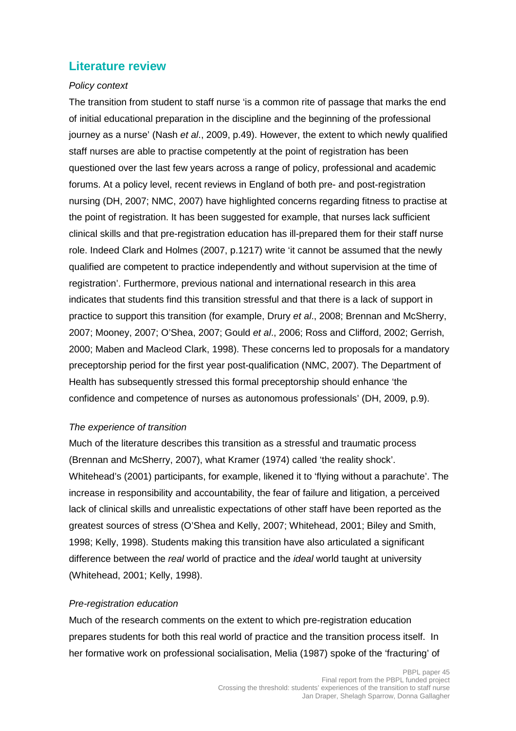### **Literature review**

#### Policy context

The transition from student to staff nurse 'is a common rite of passage that marks the end of initial educational preparation in the discipline and the beginning of the professional journey as a nurse' (Nash et al., 2009, p.49). However, the extent to which newly qualified staff nurses are able to practise competently at the point of registration has been questioned over the last few years across a range of policy, professional and academic forums. At a policy level, recent reviews in England of both pre- and post-registration nursing (DH, 2007; NMC, 2007) have highlighted concerns regarding fitness to practise at the point of registration. It has been suggested for example, that nurses lack sufficient clinical skills and that pre-registration education has ill-prepared them for their staff nurse role. Indeed Clark and Holmes (2007, p.1217) write 'it cannot be assumed that the newly qualified are competent to practice independently and without supervision at the time of registration'. Furthermore, previous national and international research in this area indicates that students find this transition stressful and that there is a lack of support in practice to support this transition (for example, Drury et al., 2008; Brennan and McSherry, 2007; Mooney, 2007; O'Shea, 2007; Gould et al., 2006; Ross and Clifford, 2002; Gerrish, 2000; Maben and Macleod Clark, 1998). These concerns led to proposals for a mandatory preceptorship period for the first year post-qualification (NMC, 2007). The Department of Health has subsequently stressed this formal preceptorship should enhance 'the confidence and competence of nurses as autonomous professionals' (DH, 2009, p.9).

#### The experience of transition

Much of the literature describes this transition as a stressful and traumatic process (Brennan and McSherry, 2007), what Kramer (1974) called 'the reality shock'. Whitehead's (2001) participants, for example, likened it to 'flying without a parachute'. The increase in responsibility and accountability, the fear of failure and litigation, a perceived lack of clinical skills and unrealistic expectations of other staff have been reported as the greatest sources of stress (O'Shea and Kelly, 2007; Whitehead, 2001; Biley and Smith, 1998; Kelly, 1998). Students making this transition have also articulated a significant difference between the real world of practice and the *ideal* world taught at university (Whitehead, 2001; Kelly, 1998).

#### Pre-registration education

Much of the research comments on the extent to which pre-registration education prepares students for both this real world of practice and the transition process itself. In her formative work on professional socialisation, Melia (1987) spoke of the 'fracturing' of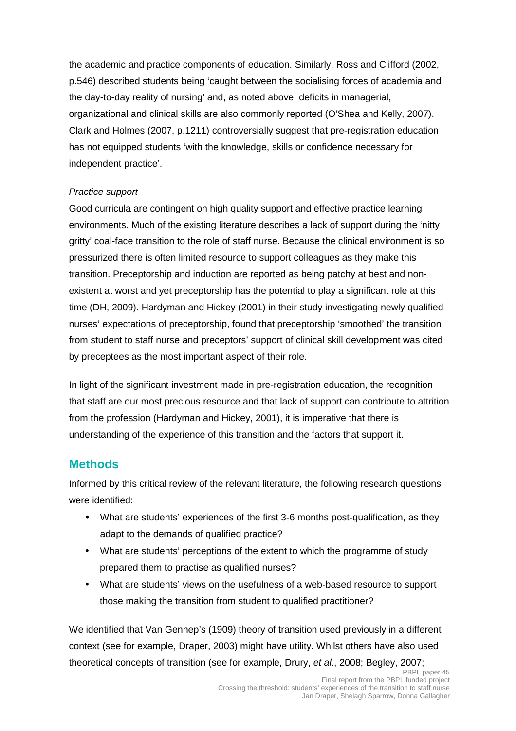the academic and practice components of education. Similarly, Ross and Clifford (2002, p.546) described students being 'caught between the socialising forces of academia and the day-to-day reality of nursing' and, as noted above, deficits in managerial, organizational and clinical skills are also commonly reported (O'Shea and Kelly, 2007). Clark and Holmes (2007, p.1211) controversially suggest that pre-registration education has not equipped students 'with the knowledge, skills or confidence necessary for independent practice'.

#### Practice support

Good curricula are contingent on high quality support and effective practice learning environments. Much of the existing literature describes a lack of support during the 'nitty gritty' coal-face transition to the role of staff nurse. Because the clinical environment is so pressurized there is often limited resource to support colleagues as they make this transition. Preceptorship and induction are reported as being patchy at best and nonexistent at worst and yet preceptorship has the potential to play a significant role at this time (DH, 2009). Hardyman and Hickey (2001) in their study investigating newly qualified nurses' expectations of preceptorship, found that preceptorship 'smoothed' the transition from student to staff nurse and preceptors' support of clinical skill development was cited by preceptees as the most important aspect of their role.

In light of the significant investment made in pre-registration education, the recognition that staff are our most precious resource and that lack of support can contribute to attrition from the profession (Hardyman and Hickey, 2001), it is imperative that there is understanding of the experience of this transition and the factors that support it.

## **Methods**

Informed by this critical review of the relevant literature, the following research questions were identified:

- What are students' experiences of the first 3-6 months post-qualification, as they adapt to the demands of qualified practice?
- What are students' perceptions of the extent to which the programme of study prepared them to practise as qualified nurses?
- What are students' views on the usefulness of a web-based resource to support those making the transition from student to qualified practitioner?

We identified that Van Gennep's (1909) theory of transition used previously in a different context (see for example, Draper, 2003) might have utility. Whilst others have also used theoretical concepts of transition (see for example, Drury, et al., 2008; Begley, 2007;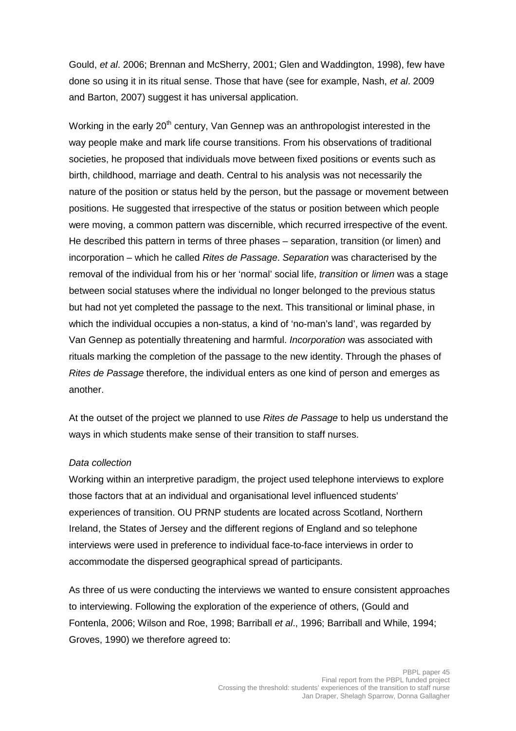Gould, et al. 2006; Brennan and McSherry, 2001; Glen and Waddington, 1998), few have done so using it in its ritual sense. Those that have (see for example, Nash, et al. 2009 and Barton, 2007) suggest it has universal application.

Working in the early  $20<sup>th</sup>$  century, Van Gennep was an anthropologist interested in the way people make and mark life course transitions. From his observations of traditional societies, he proposed that individuals move between fixed positions or events such as birth, childhood, marriage and death. Central to his analysis was not necessarily the nature of the position or status held by the person, but the passage or movement between positions. He suggested that irrespective of the status or position between which people were moving, a common pattern was discernible, which recurred irrespective of the event. He described this pattern in terms of three phases – separation, transition (or limen) and incorporation – which he called Rites de Passage. Separation was characterised by the removal of the individual from his or her 'normal' social life, transition or limen was a stage between social statuses where the individual no longer belonged to the previous status but had not yet completed the passage to the next. This transitional or liminal phase, in which the individual occupies a non-status, a kind of 'no-man's land', was regarded by Van Gennep as potentially threatening and harmful. Incorporation was associated with rituals marking the completion of the passage to the new identity. Through the phases of Rites de Passage therefore, the individual enters as one kind of person and emerges as another.

At the outset of the project we planned to use Rites de Passage to help us understand the ways in which students make sense of their transition to staff nurses.

#### Data collection

Working within an interpretive paradigm, the project used telephone interviews to explore those factors that at an individual and organisational level influenced students' experiences of transition. OU PRNP students are located across Scotland, Northern Ireland, the States of Jersey and the different regions of England and so telephone interviews were used in preference to individual face-to-face interviews in order to accommodate the dispersed geographical spread of participants.

As three of us were conducting the interviews we wanted to ensure consistent approaches to interviewing. Following the exploration of the experience of others, (Gould and Fontenla, 2006; Wilson and Roe, 1998; Barriball et al., 1996; Barriball and While, 1994; Groves, 1990) we therefore agreed to: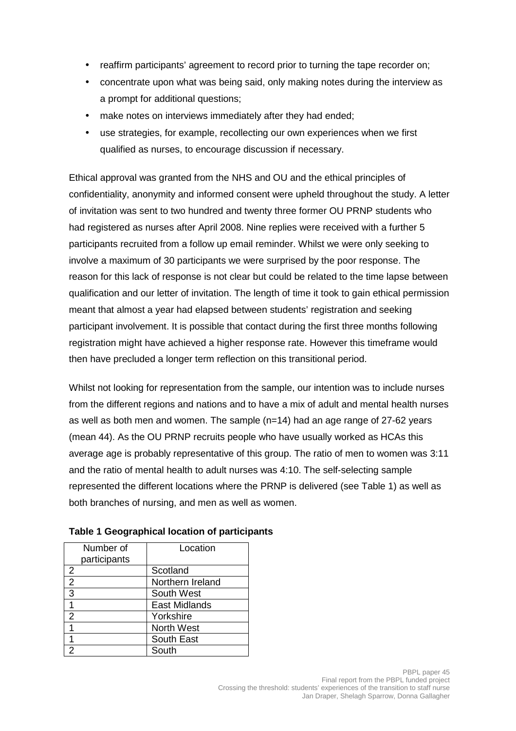- reaffirm participants' agreement to record prior to turning the tape recorder on;
- concentrate upon what was being said, only making notes during the interview as a prompt for additional questions;
- make notes on interviews immediately after they had ended;
- use strategies, for example, recollecting our own experiences when we first qualified as nurses, to encourage discussion if necessary.

Ethical approval was granted from the NHS and OU and the ethical principles of confidentiality, anonymity and informed consent were upheld throughout the study. A letter of invitation was sent to two hundred and twenty three former OU PRNP students who had registered as nurses after April 2008. Nine replies were received with a further 5 participants recruited from a follow up email reminder. Whilst we were only seeking to involve a maximum of 30 participants we were surprised by the poor response. The reason for this lack of response is not clear but could be related to the time lapse between qualification and our letter of invitation. The length of time it took to gain ethical permission meant that almost a year had elapsed between students' registration and seeking participant involvement. It is possible that contact during the first three months following registration might have achieved a higher response rate. However this timeframe would then have precluded a longer term reflection on this transitional period.

Whilst not looking for representation from the sample, our intention was to include nurses from the different regions and nations and to have a mix of adult and mental health nurses as well as both men and women. The sample  $(n=14)$  had an age range of 27-62 years (mean 44). As the OU PRNP recruits people who have usually worked as HCAs this average age is probably representative of this group. The ratio of men to women was 3:11 and the ratio of mental health to adult nurses was 4:10. The self-selecting sample represented the different locations where the PRNP is delivered (see Table 1) as well as both branches of nursing, and men as well as women.

| Number of      | Location          |
|----------------|-------------------|
| participants   |                   |
| 2              | Scotland          |
| $\overline{2}$ | Northern Ireland  |
| 3              | South West        |
|                | East Midlands     |
| $\mathcal{P}$  | Yorkshire         |
|                | <b>North West</b> |
|                | South East        |
|                | South             |

**Table 1 Geographical location of participants**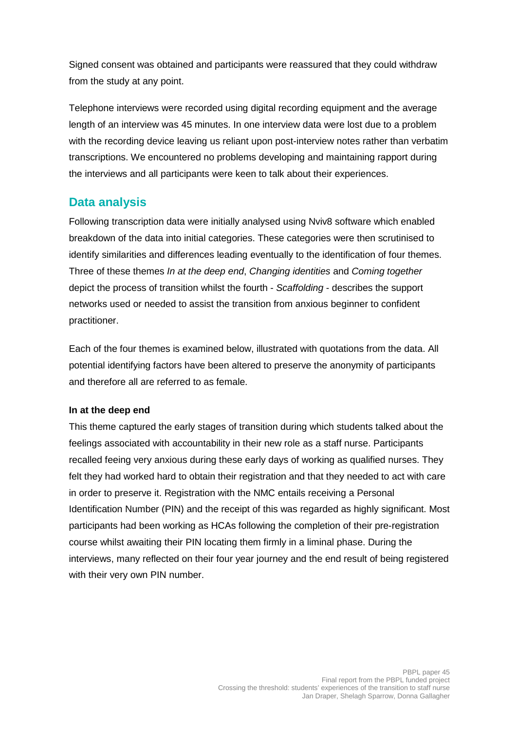Signed consent was obtained and participants were reassured that they could withdraw from the study at any point.

Telephone interviews were recorded using digital recording equipment and the average length of an interview was 45 minutes. In one interview data were lost due to a problem with the recording device leaving us reliant upon post-interview notes rather than verbatim transcriptions. We encountered no problems developing and maintaining rapport during the interviews and all participants were keen to talk about their experiences.

## **Data analysis**

Following transcription data were initially analysed using Nviv8 software which enabled breakdown of the data into initial categories. These categories were then scrutinised to identify similarities and differences leading eventually to the identification of four themes. Three of these themes In at the deep end, Changing identities and Coming together depict the process of transition whilst the fourth - Scaffolding - describes the support networks used or needed to assist the transition from anxious beginner to confident practitioner.

Each of the four themes is examined below, illustrated with quotations from the data. All potential identifying factors have been altered to preserve the anonymity of participants and therefore all are referred to as female.

#### **In at the deep end**

This theme captured the early stages of transition during which students talked about the feelings associated with accountability in their new role as a staff nurse. Participants recalled feeing very anxious during these early days of working as qualified nurses. They felt they had worked hard to obtain their registration and that they needed to act with care in order to preserve it. Registration with the NMC entails receiving a Personal Identification Number (PIN) and the receipt of this was regarded as highly significant. Most participants had been working as HCAs following the completion of their pre-registration course whilst awaiting their PIN locating them firmly in a liminal phase. During the interviews, many reflected on their four year journey and the end result of being registered with their very own PIN number.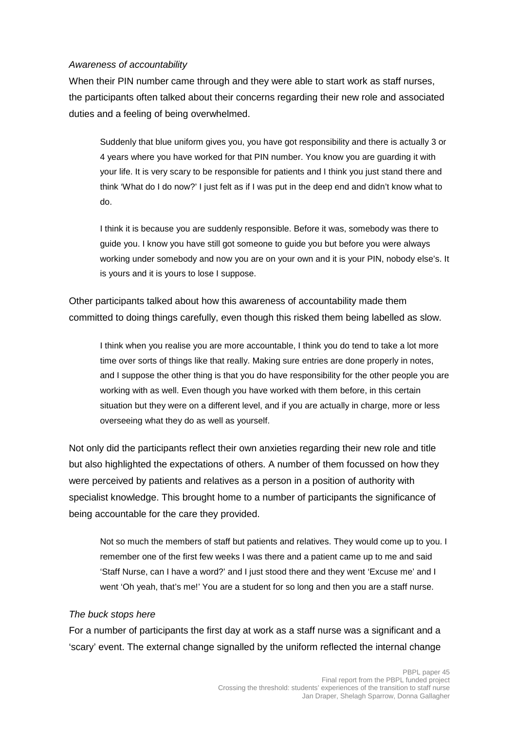#### Awareness of accountability

When their PIN number came through and they were able to start work as staff nurses, the participants often talked about their concerns regarding their new role and associated duties and a feeling of being overwhelmed.

Suddenly that blue uniform gives you, you have got responsibility and there is actually 3 or 4 years where you have worked for that PIN number. You know you are guarding it with your life. It is very scary to be responsible for patients and I think you just stand there and think 'What do I do now?' I just felt as if I was put in the deep end and didn't know what to do.

I think it is because you are suddenly responsible. Before it was, somebody was there to guide you. I know you have still got someone to guide you but before you were always working under somebody and now you are on your own and it is your PIN, nobody else's. It is yours and it is yours to lose I suppose.

Other participants talked about how this awareness of accountability made them committed to doing things carefully, even though this risked them being labelled as slow.

I think when you realise you are more accountable, I think you do tend to take a lot more time over sorts of things like that really. Making sure entries are done properly in notes, and I suppose the other thing is that you do have responsibility for the other people you are working with as well. Even though you have worked with them before, in this certain situation but they were on a different level, and if you are actually in charge, more or less overseeing what they do as well as yourself.

Not only did the participants reflect their own anxieties regarding their new role and title but also highlighted the expectations of others. A number of them focussed on how they were perceived by patients and relatives as a person in a position of authority with specialist knowledge. This brought home to a number of participants the significance of being accountable for the care they provided.

Not so much the members of staff but patients and relatives. They would come up to you. I remember one of the first few weeks I was there and a patient came up to me and said 'Staff Nurse, can I have a word?' and I just stood there and they went 'Excuse me' and I went 'Oh yeah, that's me!' You are a student for so long and then you are a staff nurse.

#### The buck stops here

For a number of participants the first day at work as a staff nurse was a significant and a 'scary' event. The external change signalled by the uniform reflected the internal change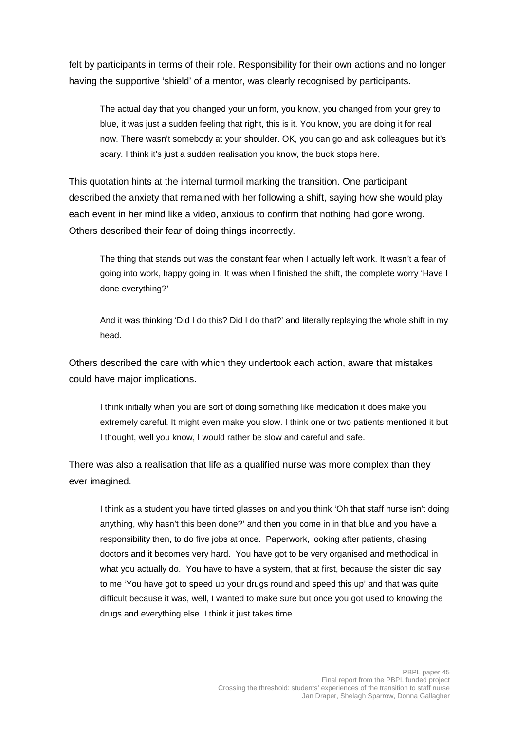felt by participants in terms of their role. Responsibility for their own actions and no longer having the supportive 'shield' of a mentor, was clearly recognised by participants.

The actual day that you changed your uniform, you know, you changed from your grey to blue, it was just a sudden feeling that right, this is it. You know, you are doing it for real now. There wasn't somebody at your shoulder. OK, you can go and ask colleagues but it's scary. I think it's just a sudden realisation you know, the buck stops here.

This quotation hints at the internal turmoil marking the transition. One participant described the anxiety that remained with her following a shift, saying how she would play each event in her mind like a video, anxious to confirm that nothing had gone wrong. Others described their fear of doing things incorrectly.

The thing that stands out was the constant fear when I actually left work. It wasn't a fear of going into work, happy going in. It was when I finished the shift, the complete worry 'Have I done everything?'

And it was thinking 'Did I do this? Did I do that?' and literally replaying the whole shift in my head.

Others described the care with which they undertook each action, aware that mistakes could have major implications.

I think initially when you are sort of doing something like medication it does make you extremely careful. It might even make you slow. I think one or two patients mentioned it but I thought, well you know, I would rather be slow and careful and safe.

There was also a realisation that life as a qualified nurse was more complex than they ever imagined.

I think as a student you have tinted glasses on and you think 'Oh that staff nurse isn't doing anything, why hasn't this been done?' and then you come in in that blue and you have a responsibility then, to do five jobs at once. Paperwork, looking after patients, chasing doctors and it becomes very hard. You have got to be very organised and methodical in what you actually do. You have to have a system, that at first, because the sister did say to me 'You have got to speed up your drugs round and speed this up' and that was quite difficult because it was, well, I wanted to make sure but once you got used to knowing the drugs and everything else. I think it just takes time.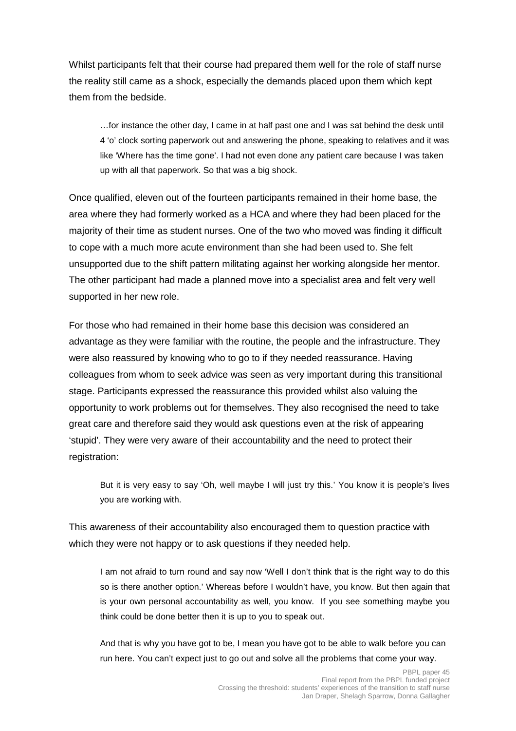Whilst participants felt that their course had prepared them well for the role of staff nurse the reality still came as a shock, especially the demands placed upon them which kept them from the bedside.

…for instance the other day, I came in at half past one and I was sat behind the desk until 4 'o' clock sorting paperwork out and answering the phone, speaking to relatives and it was like 'Where has the time gone'. I had not even done any patient care because I was taken up with all that paperwork. So that was a big shock.

Once qualified, eleven out of the fourteen participants remained in their home base, the area where they had formerly worked as a HCA and where they had been placed for the majority of their time as student nurses. One of the two who moved was finding it difficult to cope with a much more acute environment than she had been used to. She felt unsupported due to the shift pattern militating against her working alongside her mentor. The other participant had made a planned move into a specialist area and felt very well supported in her new role.

For those who had remained in their home base this decision was considered an advantage as they were familiar with the routine, the people and the infrastructure. They were also reassured by knowing who to go to if they needed reassurance. Having colleagues from whom to seek advice was seen as very important during this transitional stage. Participants expressed the reassurance this provided whilst also valuing the opportunity to work problems out for themselves. They also recognised the need to take great care and therefore said they would ask questions even at the risk of appearing 'stupid'. They were very aware of their accountability and the need to protect their registration:

But it is very easy to say 'Oh, well maybe I will just try this.' You know it is people's lives you are working with.

This awareness of their accountability also encouraged them to question practice with which they were not happy or to ask questions if they needed help.

I am not afraid to turn round and say now 'Well I don't think that is the right way to do this so is there another option.' Whereas before I wouldn't have, you know. But then again that is your own personal accountability as well, you know. If you see something maybe you think could be done better then it is up to you to speak out.

And that is why you have got to be, I mean you have got to be able to walk before you can run here. You can't expect just to go out and solve all the problems that come your way.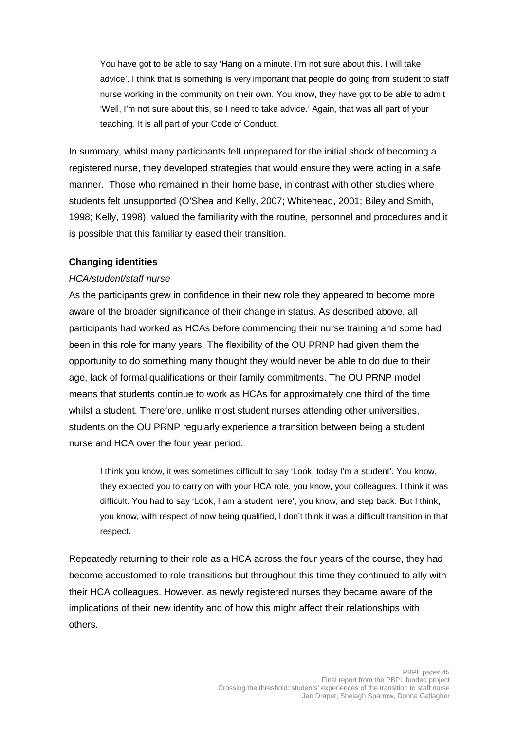You have got to be able to say 'Hang on a minute. I'm not sure about this. I will take advice'. I think that is something is very important that people do going from student to staff nurse working in the community on their own. You know, they have got to be able to admit 'Well, I'm not sure about this, so I need to take advice.' Again, that was all part of your teaching. It is all part of your Code of Conduct.

In summary, whilst many participants felt unprepared for the initial shock of becoming a registered nurse, they developed strategies that would ensure they were acting in a safe manner. Those who remained in their home base, in contrast with other studies where students felt unsupported (O'Shea and Kelly, 2007; Whitehead, 2001; Biley and Smith, 1998; Kelly, 1998), valued the familiarity with the routine, personnel and procedures and it is possible that this familiarity eased their transition.

#### **Changing identities**

#### HCA/student/staff nurse

As the participants grew in confidence in their new role they appeared to become more aware of the broader significance of their change in status. As described above, all participants had worked as HCAs before commencing their nurse training and some had been in this role for many years. The flexibility of the OU PRNP had given them the opportunity to do something many thought they would never be able to do due to their age, lack of formal qualifications or their family commitments. The OU PRNP model means that students continue to work as HCAs for approximately one third of the time whilst a student. Therefore, unlike most student nurses attending other universities, students on the OU PRNP regularly experience a transition between being a student nurse and HCA over the four year period.

I think you know, it was sometimes difficult to say 'Look, today I'm a student'. You know, they expected you to carry on with your HCA role, you know, your colleagues. I think it was difficult. You had to say 'Look, I am a student here', you know, and step back. But I think, you know, with respect of now being qualified, I don't think it was a difficult transition in that respect.

Repeatedly returning to their role as a HCA across the four years of the course, they had become accustomed to role transitions but throughout this time they continued to ally with their HCA colleagues. However, as newly registered nurses they became aware of the implications of their new identity and of how this might affect their relationships with others.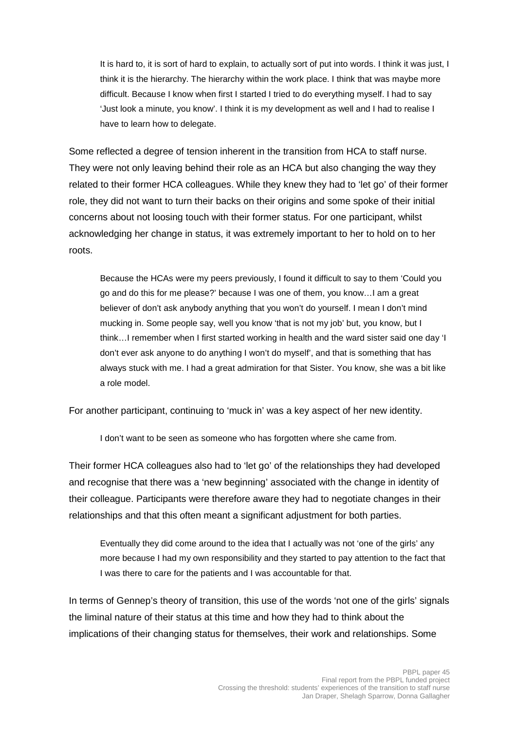It is hard to, it is sort of hard to explain, to actually sort of put into words. I think it was just, I think it is the hierarchy. The hierarchy within the work place. I think that was maybe more difficult. Because I know when first I started I tried to do everything myself. I had to say 'Just look a minute, you know'. I think it is my development as well and I had to realise I have to learn how to delegate.

Some reflected a degree of tension inherent in the transition from HCA to staff nurse. They were not only leaving behind their role as an HCA but also changing the way they related to their former HCA colleagues. While they knew they had to 'let go' of their former role, they did not want to turn their backs on their origins and some spoke of their initial concerns about not loosing touch with their former status. For one participant, whilst acknowledging her change in status, it was extremely important to her to hold on to her roots.

Because the HCAs were my peers previously, I found it difficult to say to them 'Could you go and do this for me please?' because I was one of them, you know…I am a great believer of don't ask anybody anything that you won't do yourself. I mean I don't mind mucking in. Some people say, well you know 'that is not my job' but, you know, but I think…I remember when I first started working in health and the ward sister said one day 'I don't ever ask anyone to do anything I won't do myself', and that is something that has always stuck with me. I had a great admiration for that Sister. You know, she was a bit like a role model.

For another participant, continuing to 'muck in' was a key aspect of her new identity.

I don't want to be seen as someone who has forgotten where she came from.

Their former HCA colleagues also had to 'let go' of the relationships they had developed and recognise that there was a 'new beginning' associated with the change in identity of their colleague. Participants were therefore aware they had to negotiate changes in their relationships and that this often meant a significant adjustment for both parties.

Eventually they did come around to the idea that I actually was not 'one of the girls' any more because I had my own responsibility and they started to pay attention to the fact that I was there to care for the patients and I was accountable for that.

In terms of Gennep's theory of transition, this use of the words 'not one of the girls' signals the liminal nature of their status at this time and how they had to think about the implications of their changing status for themselves, their work and relationships. Some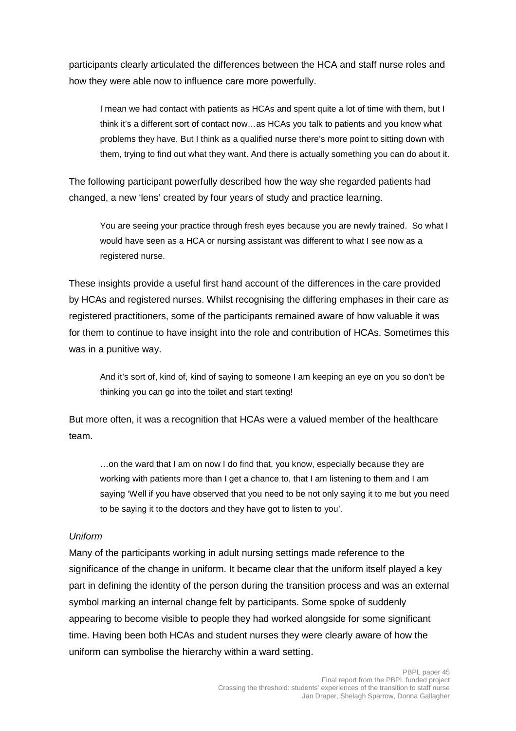participants clearly articulated the differences between the HCA and staff nurse roles and how they were able now to influence care more powerfully.

I mean we had contact with patients as HCAs and spent quite a lot of time with them, but I think it's a different sort of contact now…as HCAs you talk to patients and you know what problems they have. But I think as a qualified nurse there's more point to sitting down with them, trying to find out what they want. And there is actually something you can do about it.

The following participant powerfully described how the way she regarded patients had changed, a new 'lens' created by four years of study and practice learning.

You are seeing your practice through fresh eyes because you are newly trained. So what I would have seen as a HCA or nursing assistant was different to what I see now as a registered nurse.

These insights provide a useful first hand account of the differences in the care provided by HCAs and registered nurses. Whilst recognising the differing emphases in their care as registered practitioners, some of the participants remained aware of how valuable it was for them to continue to have insight into the role and contribution of HCAs. Sometimes this was in a punitive way.

And it's sort of, kind of, kind of saying to someone I am keeping an eye on you so don't be thinking you can go into the toilet and start texting!

But more often, it was a recognition that HCAs were a valued member of the healthcare team.

…on the ward that I am on now I do find that, you know, especially because they are working with patients more than I get a chance to, that I am listening to them and I am saying 'Well if you have observed that you need to be not only saying it to me but you need to be saying it to the doctors and they have got to listen to you'.

#### Uniform

Many of the participants working in adult nursing settings made reference to the significance of the change in uniform. It became clear that the uniform itself played a key part in defining the identity of the person during the transition process and was an external symbol marking an internal change felt by participants. Some spoke of suddenly appearing to become visible to people they had worked alongside for some significant time. Having been both HCAs and student nurses they were clearly aware of how the uniform can symbolise the hierarchy within a ward setting.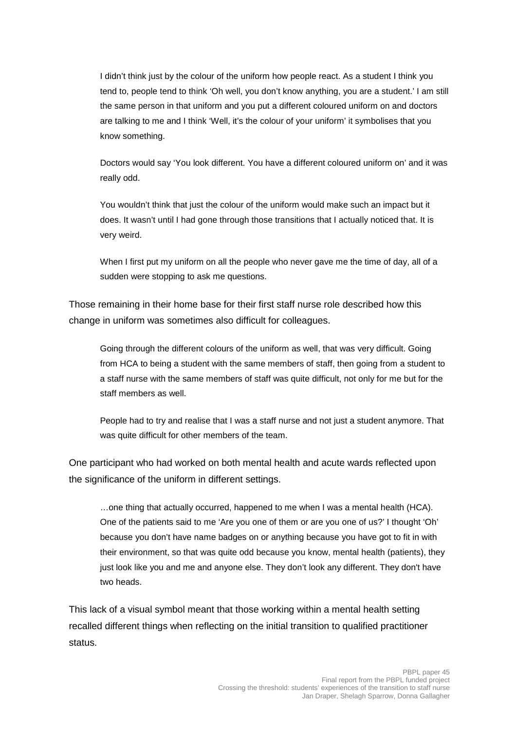I didn't think just by the colour of the uniform how people react. As a student I think you tend to, people tend to think 'Oh well, you don't know anything, you are a student.' I am still the same person in that uniform and you put a different coloured uniform on and doctors are talking to me and I think 'Well, it's the colour of your uniform' it symbolises that you know something.

Doctors would say 'You look different. You have a different coloured uniform on' and it was really odd.

You wouldn't think that just the colour of the uniform would make such an impact but it does. It wasn't until I had gone through those transitions that I actually noticed that. It is very weird.

When I first put my uniform on all the people who never gave me the time of day, all of a sudden were stopping to ask me questions.

Those remaining in their home base for their first staff nurse role described how this change in uniform was sometimes also difficult for colleagues.

Going through the different colours of the uniform as well, that was very difficult. Going from HCA to being a student with the same members of staff, then going from a student to a staff nurse with the same members of staff was quite difficult, not only for me but for the staff members as well.

People had to try and realise that I was a staff nurse and not just a student anymore. That was quite difficult for other members of the team.

One participant who had worked on both mental health and acute wards reflected upon the significance of the uniform in different settings.

…one thing that actually occurred, happened to me when I was a mental health (HCA). One of the patients said to me 'Are you one of them or are you one of us?' I thought 'Oh' because you don't have name badges on or anything because you have got to fit in with their environment, so that was quite odd because you know, mental health (patients), they just look like you and me and anyone else. They don't look any different. They don't have two heads.

This lack of a visual symbol meant that those working within a mental health setting recalled different things when reflecting on the initial transition to qualified practitioner status.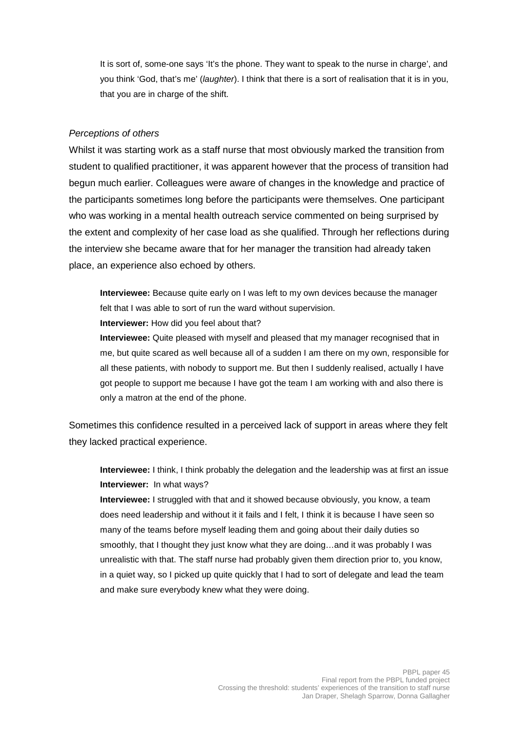It is sort of, some-one says 'It's the phone. They want to speak to the nurse in charge', and you think 'God, that's me' (laughter). I think that there is a sort of realisation that it is in you, that you are in charge of the shift.

#### Perceptions of others

Whilst it was starting work as a staff nurse that most obviously marked the transition from student to qualified practitioner, it was apparent however that the process of transition had begun much earlier. Colleagues were aware of changes in the knowledge and practice of the participants sometimes long before the participants were themselves. One participant who was working in a mental health outreach service commented on being surprised by the extent and complexity of her case load as she qualified. Through her reflections during the interview she became aware that for her manager the transition had already taken place, an experience also echoed by others.

**Interviewee:** Because quite early on I was left to my own devices because the manager felt that I was able to sort of run the ward without supervision.

**Interviewer:** How did you feel about that?

**Interviewee:** Quite pleased with myself and pleased that my manager recognised that in me, but quite scared as well because all of a sudden I am there on my own, responsible for all these patients, with nobody to support me. But then I suddenly realised, actually I have got people to support me because I have got the team I am working with and also there is only a matron at the end of the phone.

Sometimes this confidence resulted in a perceived lack of support in areas where they felt they lacked practical experience.

**Interviewee:** I think, I think probably the delegation and the leadership was at first an issue **Interviewer:** In what ways?

**Interviewee:** I struggled with that and it showed because obviously, you know, a team does need leadership and without it it fails and I felt, I think it is because I have seen so many of the teams before myself leading them and going about their daily duties so smoothly, that I thought they just know what they are doing…and it was probably I was unrealistic with that. The staff nurse had probably given them direction prior to, you know, in a quiet way, so I picked up quite quickly that I had to sort of delegate and lead the team and make sure everybody knew what they were doing.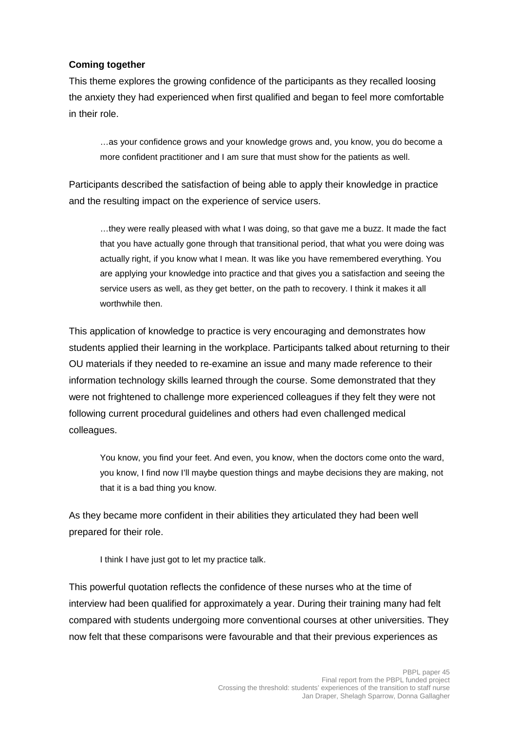#### **Coming together**

This theme explores the growing confidence of the participants as they recalled loosing the anxiety they had experienced when first qualified and began to feel more comfortable in their role.

…as your confidence grows and your knowledge grows and, you know, you do become a more confident practitioner and I am sure that must show for the patients as well.

Participants described the satisfaction of being able to apply their knowledge in practice and the resulting impact on the experience of service users.

…they were really pleased with what I was doing, so that gave me a buzz. It made the fact that you have actually gone through that transitional period, that what you were doing was actually right, if you know what I mean. It was like you have remembered everything. You are applying your knowledge into practice and that gives you a satisfaction and seeing the service users as well, as they get better, on the path to recovery. I think it makes it all worthwhile then.

This application of knowledge to practice is very encouraging and demonstrates how students applied their learning in the workplace. Participants talked about returning to their OU materials if they needed to re-examine an issue and many made reference to their information technology skills learned through the course. Some demonstrated that they were not frightened to challenge more experienced colleagues if they felt they were not following current procedural guidelines and others had even challenged medical colleagues.

You know, you find your feet. And even, you know, when the doctors come onto the ward, you know, I find now I'll maybe question things and maybe decisions they are making, not that it is a bad thing you know.

As they became more confident in their abilities they articulated they had been well prepared for their role.

I think I have just got to let my practice talk.

This powerful quotation reflects the confidence of these nurses who at the time of interview had been qualified for approximately a year. During their training many had felt compared with students undergoing more conventional courses at other universities. They now felt that these comparisons were favourable and that their previous experiences as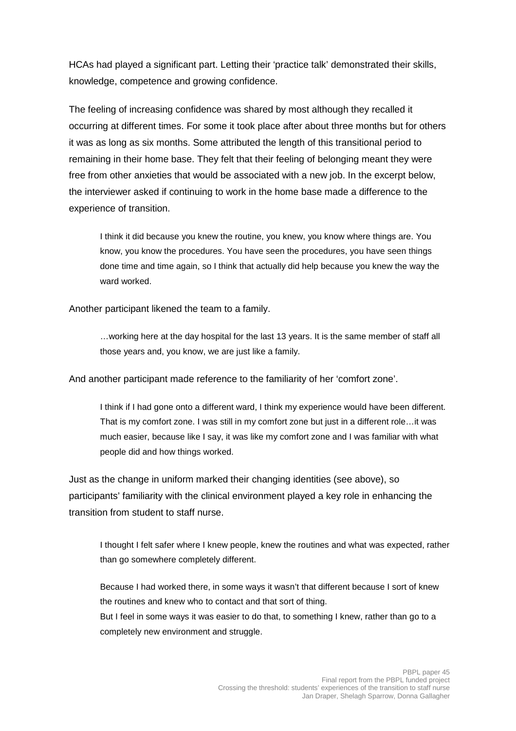HCAs had played a significant part. Letting their 'practice talk' demonstrated their skills, knowledge, competence and growing confidence.

The feeling of increasing confidence was shared by most although they recalled it occurring at different times. For some it took place after about three months but for others it was as long as six months. Some attributed the length of this transitional period to remaining in their home base. They felt that their feeling of belonging meant they were free from other anxieties that would be associated with a new job. In the excerpt below, the interviewer asked if continuing to work in the home base made a difference to the experience of transition.

I think it did because you knew the routine, you knew, you know where things are. You know, you know the procedures. You have seen the procedures, you have seen things done time and time again, so I think that actually did help because you knew the way the ward worked.

Another participant likened the team to a family.

…working here at the day hospital for the last 13 years. It is the same member of staff all those years and, you know, we are just like a family.

And another participant made reference to the familiarity of her 'comfort zone'.

I think if I had gone onto a different ward, I think my experience would have been different. That is my comfort zone. I was still in my comfort zone but just in a different role…it was much easier, because like I say, it was like my comfort zone and I was familiar with what people did and how things worked.

Just as the change in uniform marked their changing identities (see above), so participants' familiarity with the clinical environment played a key role in enhancing the transition from student to staff nurse.

I thought I felt safer where I knew people, knew the routines and what was expected, rather than go somewhere completely different.

Because I had worked there, in some ways it wasn't that different because I sort of knew the routines and knew who to contact and that sort of thing. But I feel in some ways it was easier to do that, to something I knew, rather than go to a completely new environment and struggle.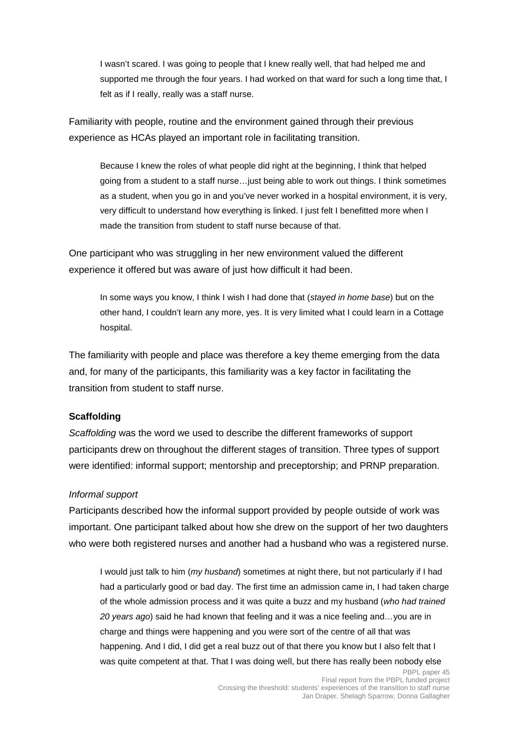I wasn't scared. I was going to people that I knew really well, that had helped me and supported me through the four years. I had worked on that ward for such a long time that, I felt as if I really, really was a staff nurse.

Familiarity with people, routine and the environment gained through their previous experience as HCAs played an important role in facilitating transition.

Because I knew the roles of what people did right at the beginning, I think that helped going from a student to a staff nurse…just being able to work out things. I think sometimes as a student, when you go in and you've never worked in a hospital environment, it is very, very difficult to understand how everything is linked. I just felt I benefitted more when I made the transition from student to staff nurse because of that.

One participant who was struggling in her new environment valued the different experience it offered but was aware of just how difficult it had been.

In some ways you know, I think I wish I had done that (stayed in home base) but on the other hand, I couldn't learn any more, yes. It is very limited what I could learn in a Cottage hospital.

The familiarity with people and place was therefore a key theme emerging from the data and, for many of the participants, this familiarity was a key factor in facilitating the transition from student to staff nurse.

#### **Scaffolding**

Scaffolding was the word we used to describe the different frameworks of support participants drew on throughout the different stages of transition. Three types of support were identified: informal support; mentorship and preceptorship; and PRNP preparation.

#### Informal support

Participants described how the informal support provided by people outside of work was important. One participant talked about how she drew on the support of her two daughters who were both registered nurses and another had a husband who was a registered nurse.

I would just talk to him (my husband) sometimes at night there, but not particularly if I had had a particularly good or bad day. The first time an admission came in, I had taken charge of the whole admission process and it was quite a buzz and my husband (who had trained 20 years ago) said he had known that feeling and it was a nice feeling and…you are in charge and things were happening and you were sort of the centre of all that was happening. And I did, I did get a real buzz out of that there you know but I also felt that I was quite competent at that. That I was doing well, but there has really been nobody else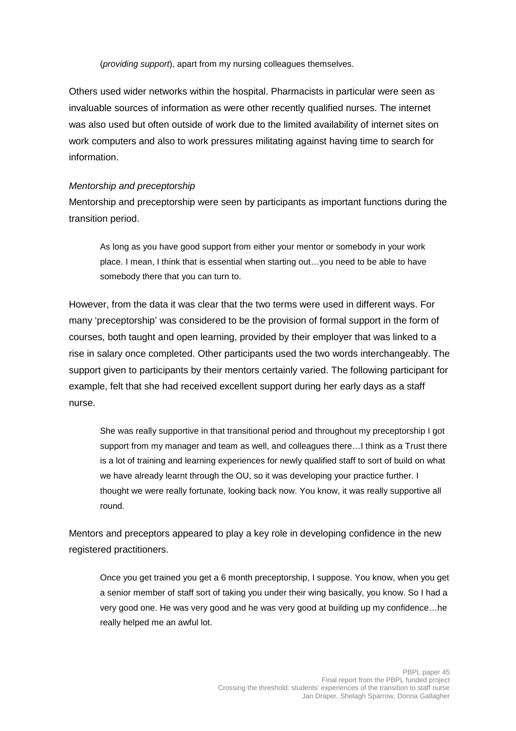(providing support), apart from my nursing colleagues themselves.

Others used wider networks within the hospital. Pharmacists in particular were seen as invaluable sources of information as were other recently qualified nurses. The internet was also used but often outside of work due to the limited availability of internet sites on work computers and also to work pressures militating against having time to search for information.

#### Mentorship and preceptorship

Mentorship and preceptorship were seen by participants as important functions during the transition period.

As long as you have good support from either your mentor or somebody in your work place. I mean, I think that is essential when starting out…you need to be able to have somebody there that you can turn to.

However, from the data it was clear that the two terms were used in different ways. For many 'preceptorship' was considered to be the provision of formal support in the form of courses, both taught and open learning, provided by their employer that was linked to a rise in salary once completed. Other participants used the two words interchangeably. The support given to participants by their mentors certainly varied. The following participant for example, felt that she had received excellent support during her early days as a staff nurse.

She was really supportive in that transitional period and throughout my preceptorship I got support from my manager and team as well, and colleagues there... I think as a Trust there is a lot of training and learning experiences for newly qualified staff to sort of build on what we have already learnt through the OU, so it was developing your practice further. I thought we were really fortunate, looking back now. You know, it was really supportive all round.

Mentors and preceptors appeared to play a key role in developing confidence in the new registered practitioners.

Once you get trained you get a 6 month preceptorship, I suppose. You know, when you get a senior member of staff sort of taking you under their wing basically, you know. So I had a very good one. He was very good and he was very good at building up my confidence…he really helped me an awful lot.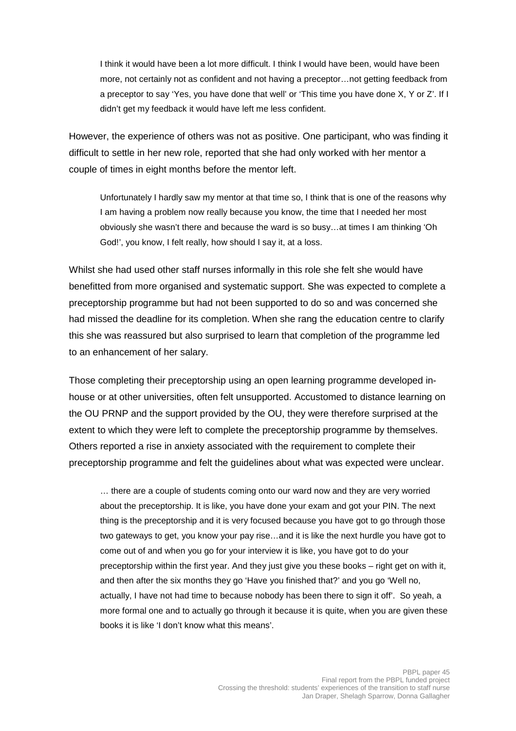I think it would have been a lot more difficult. I think I would have been, would have been more, not certainly not as confident and not having a preceptor…not getting feedback from a preceptor to say 'Yes, you have done that well' or 'This time you have done X, Y or Z'. If I didn't get my feedback it would have left me less confident.

However, the experience of others was not as positive. One participant, who was finding it difficult to settle in her new role, reported that she had only worked with her mentor a couple of times in eight months before the mentor left.

Unfortunately I hardly saw my mentor at that time so, I think that is one of the reasons why I am having a problem now really because you know, the time that I needed her most obviously she wasn't there and because the ward is so busy…at times I am thinking 'Oh God!', you know, I felt really, how should I say it, at a loss.

Whilst she had used other staff nurses informally in this role she felt she would have benefitted from more organised and systematic support. She was expected to complete a preceptorship programme but had not been supported to do so and was concerned she had missed the deadline for its completion. When she rang the education centre to clarify this she was reassured but also surprised to learn that completion of the programme led to an enhancement of her salary.

Those completing their preceptorship using an open learning programme developed inhouse or at other universities, often felt unsupported. Accustomed to distance learning on the OU PRNP and the support provided by the OU, they were therefore surprised at the extent to which they were left to complete the preceptorship programme by themselves. Others reported a rise in anxiety associated with the requirement to complete their preceptorship programme and felt the guidelines about what was expected were unclear.

… there are a couple of students coming onto our ward now and they are very worried about the preceptorship. It is like, you have done your exam and got your PIN. The next thing is the preceptorship and it is very focused because you have got to go through those two gateways to get, you know your pay rise…and it is like the next hurdle you have got to come out of and when you go for your interview it is like, you have got to do your preceptorship within the first year. And they just give you these books – right get on with it, and then after the six months they go 'Have you finished that?' and you go 'Well no, actually, I have not had time to because nobody has been there to sign it off'. So yeah, a more formal one and to actually go through it because it is quite, when you are given these books it is like 'I don't know what this means'.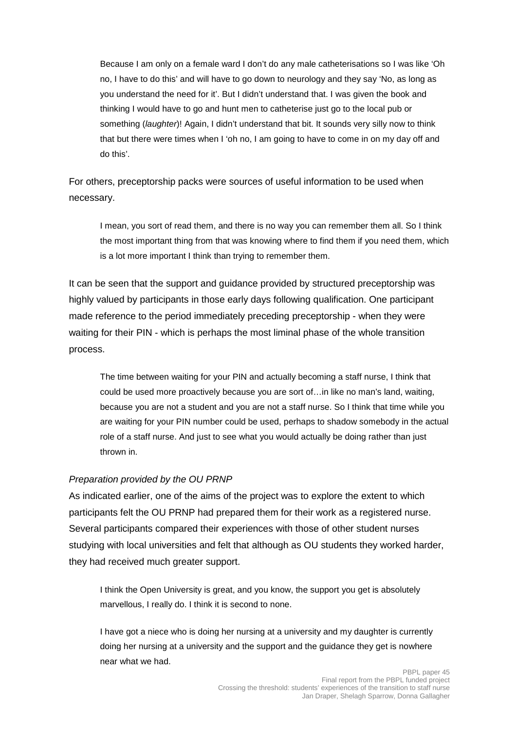Because I am only on a female ward I don't do any male catheterisations so I was like 'Oh no, I have to do this' and will have to go down to neurology and they say 'No, as long as you understand the need for it'. But I didn't understand that. I was given the book and thinking I would have to go and hunt men to catheterise just go to the local pub or something (*laughter*)! Again, I didn't understand that bit. It sounds very silly now to think that but there were times when I 'oh no, I am going to have to come in on my day off and do this'.

For others, preceptorship packs were sources of useful information to be used when necessary.

I mean, you sort of read them, and there is no way you can remember them all. So I think the most important thing from that was knowing where to find them if you need them, which is a lot more important I think than trying to remember them.

It can be seen that the support and guidance provided by structured preceptorship was highly valued by participants in those early days following qualification. One participant made reference to the period immediately preceding preceptorship - when they were waiting for their PIN - which is perhaps the most liminal phase of the whole transition process.

The time between waiting for your PIN and actually becoming a staff nurse, I think that could be used more proactively because you are sort of…in like no man's land, waiting, because you are not a student and you are not a staff nurse. So I think that time while you are waiting for your PIN number could be used, perhaps to shadow somebody in the actual role of a staff nurse. And just to see what you would actually be doing rather than just thrown in.

#### Preparation provided by the OU PRNP

As indicated earlier, one of the aims of the project was to explore the extent to which participants felt the OU PRNP had prepared them for their work as a registered nurse. Several participants compared their experiences with those of other student nurses studying with local universities and felt that although as OU students they worked harder, they had received much greater support.

I think the Open University is great, and you know, the support you get is absolutely marvellous, I really do. I think it is second to none.

I have got a niece who is doing her nursing at a university and my daughter is currently doing her nursing at a university and the support and the guidance they get is nowhere near what we had.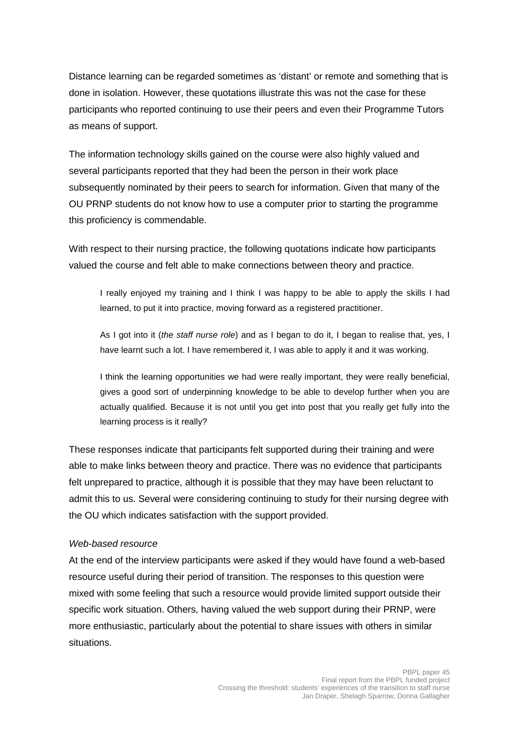Distance learning can be regarded sometimes as 'distant' or remote and something that is done in isolation. However, these quotations illustrate this was not the case for these participants who reported continuing to use their peers and even their Programme Tutors as means of support.

The information technology skills gained on the course were also highly valued and several participants reported that they had been the person in their work place subsequently nominated by their peers to search for information. Given that many of the OU PRNP students do not know how to use a computer prior to starting the programme this proficiency is commendable.

With respect to their nursing practice, the following quotations indicate how participants valued the course and felt able to make connections between theory and practice.

I really enjoyed my training and I think I was happy to be able to apply the skills I had learned, to put it into practice, moving forward as a registered practitioner.

As I got into it *(the staff nurse role)* and as I began to do it, I began to realise that, yes, I have learnt such a lot. I have remembered it, I was able to apply it and it was working.

I think the learning opportunities we had were really important, they were really beneficial, gives a good sort of underpinning knowledge to be able to develop further when you are actually qualified. Because it is not until you get into post that you really get fully into the learning process is it really?

These responses indicate that participants felt supported during their training and were able to make links between theory and practice. There was no evidence that participants felt unprepared to practice, although it is possible that they may have been reluctant to admit this to us. Several were considering continuing to study for their nursing degree with the OU which indicates satisfaction with the support provided.

#### Web-based resource

At the end of the interview participants were asked if they would have found a web-based resource useful during their period of transition. The responses to this question were mixed with some feeling that such a resource would provide limited support outside their specific work situation. Others, having valued the web support during their PRNP, were more enthusiastic, particularly about the potential to share issues with others in similar situations.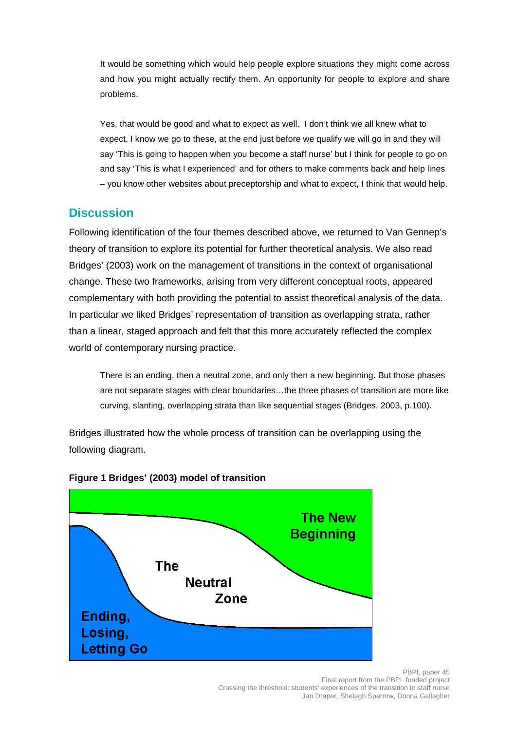It would be something which would help people explore situations they might come across and how you might actually rectify them. An opportunity for people to explore and share problems.

Yes, that would be good and what to expect as well. I don't think we all knew what to expect. I know we go to these, at the end just before we qualify we will go in and they will say 'This is going to happen when you become a staff nurse' but I think for people to go on and say 'This is what I experienced' and for others to make comments back and help lines – you know other websites about preceptorship and what to expect, I think that would help.

## **Discussion**

Following identification of the four themes described above, we returned to Van Gennep's theory of transition to explore its potential for further theoretical analysis. We also read Bridges' (2003) work on the management of transitions in the context of organisational change. These two frameworks, arising from very different conceptual roots, appeared complementary with both providing the potential to assist theoretical analysis of the data. In particular we liked Bridges' representation of transition as overlapping strata, rather than a linear, staged approach and felt that this more accurately reflected the complex world of contemporary nursing practice.

There is an ending, then a neutral zone, and only then a new beginning. But those phases are not separate stages with clear boundaries…the three phases of transition are more like curving, slanting, overlapping strata than like sequential stages (Bridges, 2003, p.100).

Bridges illustrated how the whole process of transition can be overlapping using the following diagram.



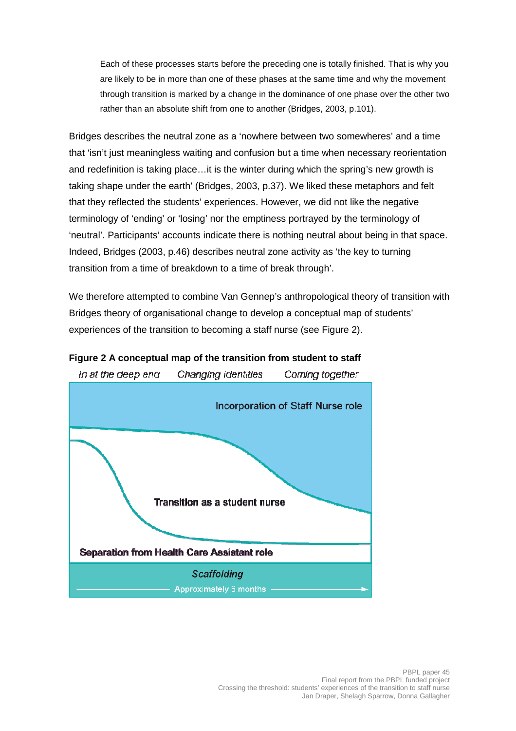Each of these processes starts before the preceding one is totally finished. That is why you are likely to be in more than one of these phases at the same time and why the movement through transition is marked by a change in the dominance of one phase over the other two rather than an absolute shift from one to another (Bridges, 2003, p.101).

Bridges describes the neutral zone as a 'nowhere between two somewheres' and a time that 'isn't just meaningless waiting and confusion but a time when necessary reorientation and redefinition is taking place…it is the winter during which the spring's new growth is taking shape under the earth' (Bridges, 2003, p.37). We liked these metaphors and felt that they reflected the students' experiences. However, we did not like the negative terminology of 'ending' or 'losing' nor the emptiness portrayed by the terminology of 'neutral'. Participants' accounts indicate there is nothing neutral about being in that space. Indeed, Bridges (2003, p.46) describes neutral zone activity as 'the key to turning transition from a time of breakdown to a time of break through'.

We therefore attempted to combine Van Gennep's anthropological theory of transition with Bridges theory of organisational change to develop a conceptual map of students' experiences of the transition to becoming a staff nurse (see Figure 2).



# **Figure 2 A conceptual map of the transition from student to staff**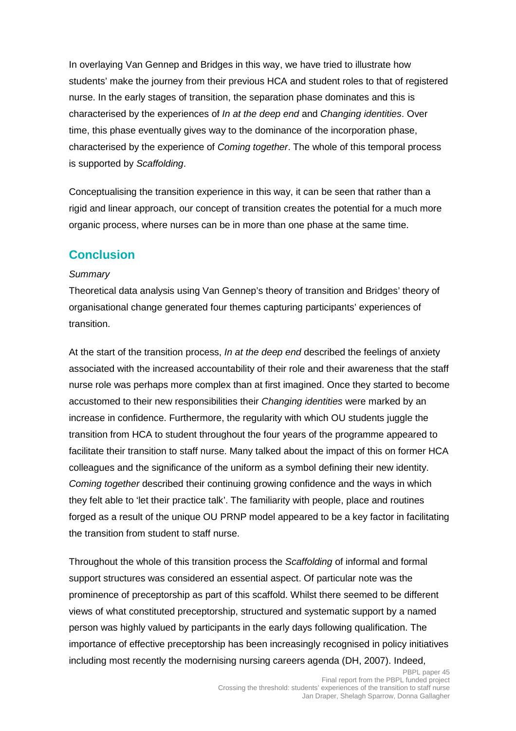In overlaying Van Gennep and Bridges in this way, we have tried to illustrate how students' make the journey from their previous HCA and student roles to that of registered nurse. In the early stages of transition, the separation phase dominates and this is characterised by the experiences of In at the deep end and Changing identities. Over time, this phase eventually gives way to the dominance of the incorporation phase, characterised by the experience of Coming together. The whole of this temporal process is supported by Scaffolding.

Conceptualising the transition experience in this way, it can be seen that rather than a rigid and linear approach, our concept of transition creates the potential for a much more organic process, where nurses can be in more than one phase at the same time.

## **Conclusion**

#### **Summary**

Theoretical data analysis using Van Gennep's theory of transition and Bridges' theory of organisational change generated four themes capturing participants' experiences of transition.

At the start of the transition process, In at the deep end described the feelings of anxiety associated with the increased accountability of their role and their awareness that the staff nurse role was perhaps more complex than at first imagined. Once they started to become accustomed to their new responsibilities their *Changing identities* were marked by an increase in confidence. Furthermore, the regularity with which OU students juggle the transition from HCA to student throughout the four years of the programme appeared to facilitate their transition to staff nurse. Many talked about the impact of this on former HCA colleagues and the significance of the uniform as a symbol defining their new identity. Coming together described their continuing growing confidence and the ways in which they felt able to 'let their practice talk'. The familiarity with people, place and routines forged as a result of the unique OU PRNP model appeared to be a key factor in facilitating the transition from student to staff nurse.

Throughout the whole of this transition process the Scaffolding of informal and formal support structures was considered an essential aspect. Of particular note was the prominence of preceptorship as part of this scaffold. Whilst there seemed to be different views of what constituted preceptorship, structured and systematic support by a named person was highly valued by participants in the early days following qualification. The importance of effective preceptorship has been increasingly recognised in policy initiatives including most recently the modernising nursing careers agenda (DH, 2007). Indeed,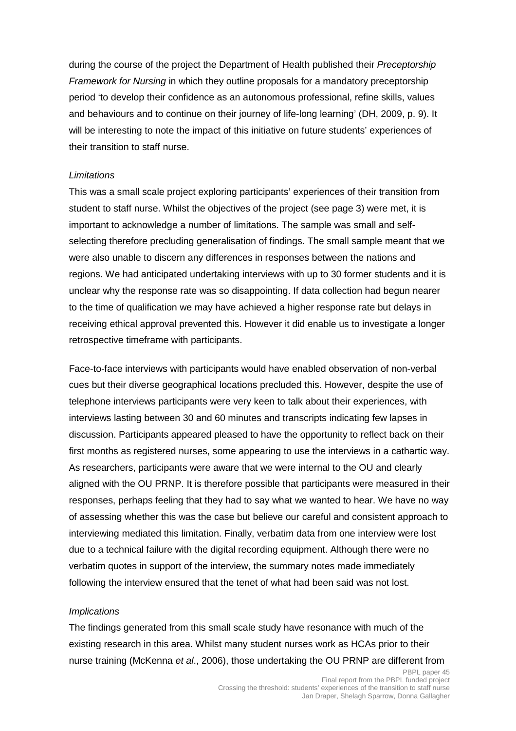during the course of the project the Department of Health published their *Preceptorship* Framework for Nursing in which they outline proposals for a mandatory preceptorship period 'to develop their confidence as an autonomous professional, refine skills, values and behaviours and to continue on their journey of life-long learning' (DH, 2009, p. 9). It will be interesting to note the impact of this initiative on future students' experiences of their transition to staff nurse.

#### **Limitations**

This was a small scale project exploring participants' experiences of their transition from student to staff nurse. Whilst the objectives of the project (see page 3) were met, it is important to acknowledge a number of limitations. The sample was small and selfselecting therefore precluding generalisation of findings. The small sample meant that we were also unable to discern any differences in responses between the nations and regions. We had anticipated undertaking interviews with up to 30 former students and it is unclear why the response rate was so disappointing. If data collection had begun nearer to the time of qualification we may have achieved a higher response rate but delays in receiving ethical approval prevented this. However it did enable us to investigate a longer retrospective timeframe with participants.

Face-to-face interviews with participants would have enabled observation of non-verbal cues but their diverse geographical locations precluded this. However, despite the use of telephone interviews participants were very keen to talk about their experiences, with interviews lasting between 30 and 60 minutes and transcripts indicating few lapses in discussion. Participants appeared pleased to have the opportunity to reflect back on their first months as registered nurses, some appearing to use the interviews in a cathartic way. As researchers, participants were aware that we were internal to the OU and clearly aligned with the OU PRNP. It is therefore possible that participants were measured in their responses, perhaps feeling that they had to say what we wanted to hear. We have no way of assessing whether this was the case but believe our careful and consistent approach to interviewing mediated this limitation. Finally, verbatim data from one interview were lost due to a technical failure with the digital recording equipment. Although there were no verbatim quotes in support of the interview, the summary notes made immediately following the interview ensured that the tenet of what had been said was not lost.

#### **Implications**

The findings generated from this small scale study have resonance with much of the existing research in this area. Whilst many student nurses work as HCAs prior to their nurse training (McKenna et al., 2006), those undertaking the OU PRNP are different from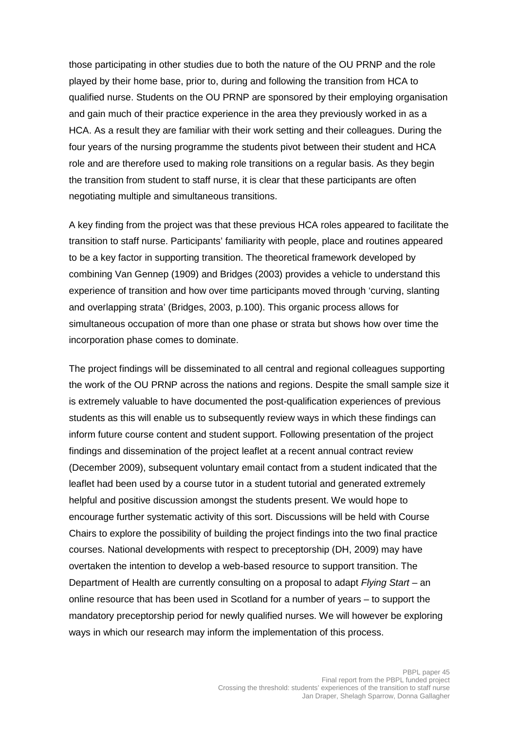those participating in other studies due to both the nature of the OU PRNP and the role played by their home base, prior to, during and following the transition from HCA to qualified nurse. Students on the OU PRNP are sponsored by their employing organisation and gain much of their practice experience in the area they previously worked in as a HCA. As a result they are familiar with their work setting and their colleagues. During the four years of the nursing programme the students pivot between their student and HCA role and are therefore used to making role transitions on a regular basis. As they begin the transition from student to staff nurse, it is clear that these participants are often negotiating multiple and simultaneous transitions.

A key finding from the project was that these previous HCA roles appeared to facilitate the transition to staff nurse. Participants' familiarity with people, place and routines appeared to be a key factor in supporting transition. The theoretical framework developed by combining Van Gennep (1909) and Bridges (2003) provides a vehicle to understand this experience of transition and how over time participants moved through 'curving, slanting and overlapping strata' (Bridges, 2003, p.100). This organic process allows for simultaneous occupation of more than one phase or strata but shows how over time the incorporation phase comes to dominate.

The project findings will be disseminated to all central and regional colleagues supporting the work of the OU PRNP across the nations and regions. Despite the small sample size it is extremely valuable to have documented the post-qualification experiences of previous students as this will enable us to subsequently review ways in which these findings can inform future course content and student support. Following presentation of the project findings and dissemination of the project leaflet at a recent annual contract review (December 2009), subsequent voluntary email contact from a student indicated that the leaflet had been used by a course tutor in a student tutorial and generated extremely helpful and positive discussion amongst the students present. We would hope to encourage further systematic activity of this sort. Discussions will be held with Course Chairs to explore the possibility of building the project findings into the two final practice courses. National developments with respect to preceptorship (DH, 2009) may have overtaken the intention to develop a web-based resource to support transition. The Department of Health are currently consulting on a proposal to adapt Flying Start – an online resource that has been used in Scotland for a number of years – to support the mandatory preceptorship period for newly qualified nurses. We will however be exploring ways in which our research may inform the implementation of this process.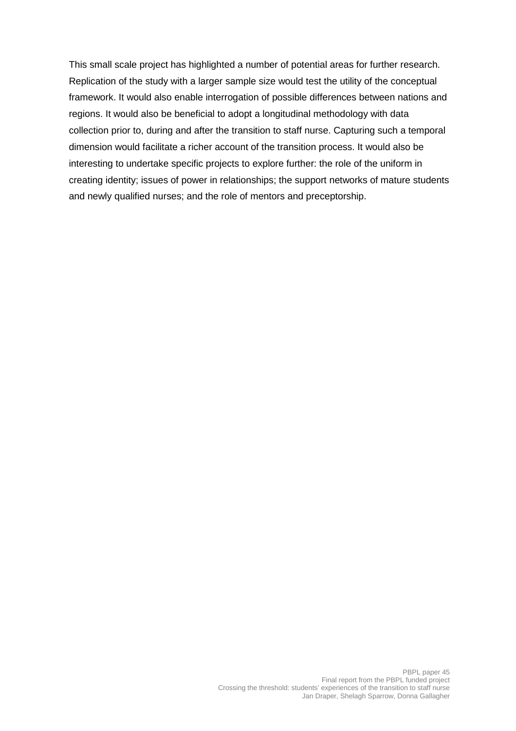This small scale project has highlighted a number of potential areas for further research. Replication of the study with a larger sample size would test the utility of the conceptual framework. It would also enable interrogation of possible differences between nations and regions. It would also be beneficial to adopt a longitudinal methodology with data collection prior to, during and after the transition to staff nurse. Capturing such a temporal dimension would facilitate a richer account of the transition process. It would also be interesting to undertake specific projects to explore further: the role of the uniform in creating identity; issues of power in relationships; the support networks of mature students and newly qualified nurses; and the role of mentors and preceptorship.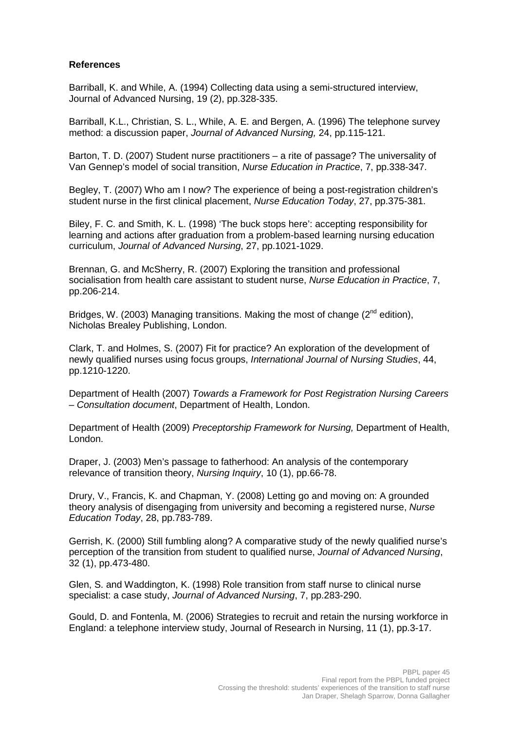#### **References**

Barriball, K. and While, A. (1994) Collecting data using a semi-structured interview, Journal of Advanced Nursing, 19 (2), pp.328-335.

Barriball, K.L., Christian, S. L., While, A. E. and Bergen, A. (1996) The telephone survey method: a discussion paper, Journal of Advanced Nursing, 24, pp.115-121.

Barton, T. D. (2007) Student nurse practitioners – a rite of passage? The universality of Van Gennep's model of social transition, Nurse Education in Practice, 7, pp.338-347.

Begley, T. (2007) Who am I now? The experience of being a post-registration children's student nurse in the first clinical placement, Nurse Education Today, 27, pp.375-381.

Biley, F. C. and Smith, K. L. (1998) 'The buck stops here': accepting responsibility for learning and actions after graduation from a problem-based learning nursing education curriculum, Journal of Advanced Nursing, 27, pp.1021-1029.

Brennan, G. and McSherry, R. (2007) Exploring the transition and professional socialisation from health care assistant to student nurse, Nurse Education in Practice, 7, pp.206-214.

Bridges, W. (2003) Managing transitions. Making the most of change (2<sup>nd</sup> edition). Nicholas Brealey Publishing, London.

Clark, T. and Holmes, S. (2007) Fit for practice? An exploration of the development of newly qualified nurses using focus groups, International Journal of Nursing Studies, 44, pp.1210-1220.

Department of Health (2007) Towards a Framework for Post Registration Nursing Careers – Consultation document, Department of Health, London.

Department of Health (2009) Preceptorship Framework for Nursing, Department of Health, London.

Draper, J. (2003) Men's passage to fatherhood: An analysis of the contemporary relevance of transition theory, Nursing Inquiry, 10 (1), pp.66-78.

Drury, V., Francis, K. and Chapman, Y. (2008) Letting go and moving on: A grounded theory analysis of disengaging from university and becoming a registered nurse, Nurse Education Today, 28, pp.783-789.

Gerrish, K. (2000) Still fumbling along? A comparative study of the newly qualified nurse's perception of the transition from student to qualified nurse, Journal of Advanced Nursing, 32 (1), pp.473-480.

Glen, S. and Waddington, K. (1998) Role transition from staff nurse to clinical nurse specialist: a case study, Journal of Advanced Nursing, 7, pp.283-290.

Gould, D. and Fontenla, M. (2006) Strategies to recruit and retain the nursing workforce in England: a telephone interview study, Journal of Research in Nursing, 11 (1), pp.3-17.